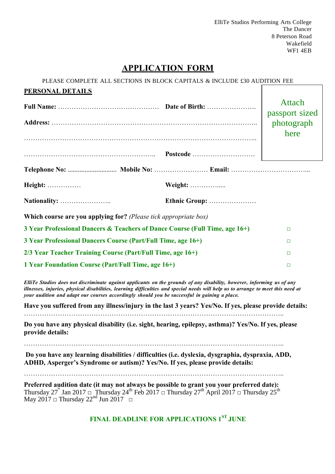ElliTe Studios Performing Arts College The Dancer 8 Peterson Road Wakefield WF1 4EB

# **APPLICATION FORM**

PLEASE COMPLETE ALL SECTIONS IN BLOCK CAPITALS & INCLUDE £30 AUDITION FEE

| <b>PERSONAL DETAILS</b>                                                                      |  |                                                                                                                                                                                                                                                            |                              |
|----------------------------------------------------------------------------------------------|--|------------------------------------------------------------------------------------------------------------------------------------------------------------------------------------------------------------------------------------------------------------|------------------------------|
|                                                                                              |  |                                                                                                                                                                                                                                                            | Attach                       |
|                                                                                              |  |                                                                                                                                                                                                                                                            | passport sized<br>photograph |
|                                                                                              |  |                                                                                                                                                                                                                                                            | here                         |
|                                                                                              |  |                                                                                                                                                                                                                                                            |                              |
|                                                                                              |  |                                                                                                                                                                                                                                                            |                              |
|                                                                                              |  |                                                                                                                                                                                                                                                            |                              |
| Height:                                                                                      |  | Weight:                                                                                                                                                                                                                                                    |                              |
|                                                                                              |  | Ethnic Group:                                                                                                                                                                                                                                              |                              |
| Which course are you applying for? (Please tick appropriate box)                             |  |                                                                                                                                                                                                                                                            |                              |
| 3 Year Professional Dancers & Teachers of Dance Course (Full Time, age 16+)                  |  |                                                                                                                                                                                                                                                            | $\Box$                       |
| 3 Year Professional Dancers Course (Part/Full Time, age 16+)                                 |  |                                                                                                                                                                                                                                                            | $\Box$                       |
| 2/3 Year Teacher Training Course (Part/Full Time, age 16+)                                   |  |                                                                                                                                                                                                                                                            | $\Box$                       |
| 1 Year Foundation Course (Part/Full Time, age 16+)                                           |  |                                                                                                                                                                                                                                                            | $\Box$                       |
| your audition and adapt our courses accordingly should you be successful in gaining a place. |  | ElliTe Studios does not discriminate against applicants on the grounds of any disability, however, informing us of any<br>illnesses, injuries, physical disabilities, learning difficulties and special needs will help us to arrange to meet this need at |                              |
|                                                                                              |  | Have you suffered from any illness/injury in the last 3 years? Yes/No. If yes, please provide details:                                                                                                                                                     |                              |
| provide details:                                                                             |  | Do you have any physical disability (i.e. sight, hearing, epilepsy, asthma)? Yes/No. If yes, please                                                                                                                                                        |                              |
|                                                                                              |  |                                                                                                                                                                                                                                                            |                              |

**Do you have any learning disabilities / difficulties (i.e. dyslexia, dysgraphia, dyspraxia, ADD, ADHD, Asperger's Syndrome or autism)? Yes/No. If yes, please provide details:**

……………………………………………………………………………………………………..

**Preferred audition date (it may not always be possible to grant you your preferred date):**  Thursday 27<sup>th</sup> Jan 2017 □ Thursday 24<sup>th</sup> Feb 2017 □ Thursday 27<sup>th</sup> April 2017 □ Thursday 25<sup>th</sup> May 2017  $\Box$  Thursday 22<sup>nd</sup> Jun 2017  $\Box$ 

**FINAL DEADLINE FOR APPLICATIONS 1ST JUNE**